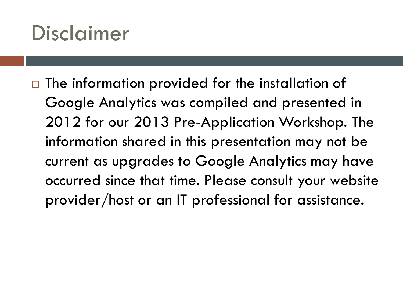## Disclaimer

 $\Box$  The information provided for the installation of Google Analytics was compiled and presented in 2012 for our 2013 Pre-Application Workshop. The information shared in this presentation may not be current as upgrades to Google Analytics may have occurred since that time. Please consult your website provider/host or an IT professional for assistance.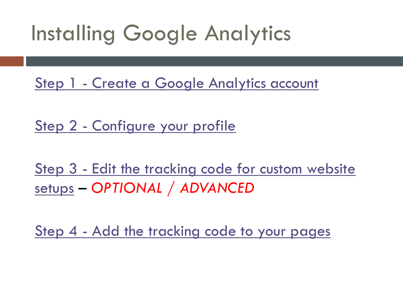# Installing Google Analytics

[Step 1 -](http://support.google.com/googleanalytics/bin/answer.py?hl=en&answer=74932) [Create a Google Analytics account](http://support.google.com/googleanalytics/bin/answer.py?hl=en&answer=74932)

[Step 2 -](http://support.google.com/googleanalytics/bin/answer.py?hl=en&answer=74932) [Configure your profile](http://support.google.com/googleanalytics/bin/answer.py?hl=en&answer=74932)

[Step 3 -](http://support.google.com/googleanalytics/bin/answer.py?hl=en&answer=74932) [Edit the tracking code for custom website](http://support.google.com/googleanalytics/bin/answer.py?hl=en&answer=74932)  [setups](http://support.google.com/googleanalytics/bin/answer.py?hl=en&answer=74932) – *OPTIONAL / ADVANCED*

[Step 4 -](http://support.google.com/googleanalytics/bin/answer.py?hl=en&answer=74932) [Add the tracking code to your pages](http://support.google.com/googleanalytics/bin/answer.py?hl=en&answer=74932)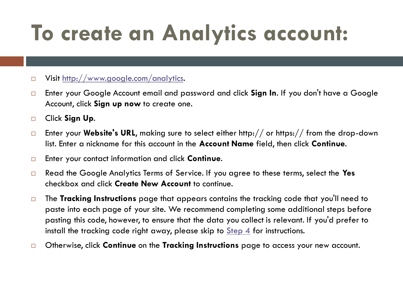# **To create an Analytics account:**

### Visit<http://www.google.com/analytics>.

- Enter your Google Account email and password and click **Sign In**. If you don't have a Google Account, click **Sign up now** to create one.
- Click **Sign Up**.
- □ Enter your Website's URL, making sure to select either http:// or https:// from the drop-down list. Enter a nickname for this account in the **Account Name** field, then click **Continue**.
- Enter your contact information and click **Continue**.
- Read the Google Analytics Terms of Service. If you agree to these terms, select the **Yes** checkbox and click **Create New Account** to continue.
- The **Tracking Instructions** page that appears contains the tracking code that you'll need to paste into each page of your site. We recommend completing some additional steps before pasting this code, however, to ensure that the data you collect is relevant. If you'd prefer to install the tracking code right away, please skip to [Step 4](http://support.google.com/googleanalytics/bin/answer.py?hl=en&answer=749320.1.1_step4) for instructions.
- Otherwise, click **Continue** on the **Tracking Instructions** page to access your new account.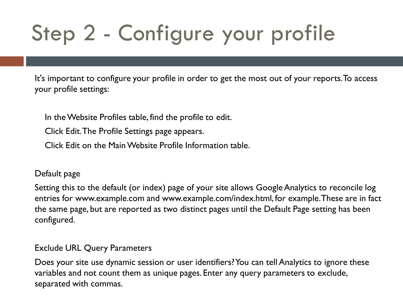# Step 2 - Configure your profile

It's important to configure your profile in order to get the most out of your reports. To access your profile settings:

In the Website Profiles table, find the profile to edit.

Click Edit. The Profile Settings page appears.

Click Edit on the Main Website Profile Information table.

#### Default page

Setting this to the default (or index) page of your site allows Google Analytics to reconcile log entries for www.example.com and www.example.com/index.html, for example. These are in fact the same page, but are reported as two distinct pages until the Default Page setting has been configured.

### Exclude URL Query Parameters

Does your site use dynamic session or user identifiers? You can tell Analytics to ignore these variables and not count them as unique pages. Enter any query parameters to exclude, separated with commas.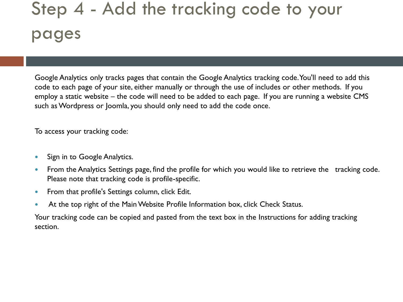### Step 4 - Add the tracking code to your pages

Google Analytics only tracks pages that contain the Google Analytics tracking code. You'll need to add this code to each page of your site, either manually or through the use of includes or other methods. If you employ a static website – the code will need to be added to each page. If you are running a website CMS such as Wordpress or Joomla, you should only need to add the code once.

To access your tracking code:

- Sign in to Google Analytics.
- From the Analytics Settings page, find the profile for which you would like to retrieve the tracking code. Please note that tracking code is profile-specific.
- From that profile's Settings column, click Edit.
- At the top right of the Main Website Profile Information box, click Check Status.

Your tracking code can be copied and pasted from the text box in the Instructions for adding tracking section.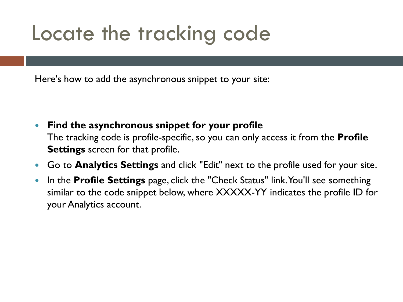## Locate the tracking code

Here's how to add the asynchronous snippet to your site:

- **Find the asynchronous snippet for your profile** The tracking code is profile-specific, so you can only access it from the **Profile Settings** screen for that profile.
- Go to **Analytics Settings** and click "Edit" next to the profile used for your site.
- In the **Profile Settings** page, click the "Check Status" link. You'll see something similar to the code snippet below, where XXXXX-YY indicates the profile ID for your Analytics account.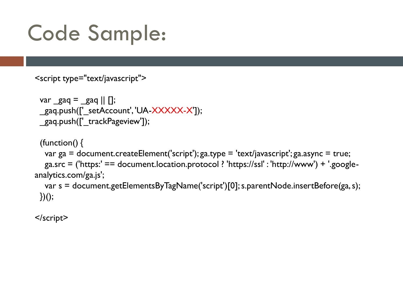## Code Sample:

```
<script type="text/javascript">
```

```
var_{\text{gaq}} = \text{gaq} || \text{[]};_gaq.push(['_setAccount', 'UA-XXXXX-X']);
gaq.push(['_trackPageview']);
```

```
(function() {
  var ga = document.createElement('script'); ga.type = 'text/javascript'; ga.async = true;
  ga.src = ('https:' == document.location.protocol ? 'https://ssl' : 'http://www') + '.google-
analytics.com/ga.js';
  var s = document.getElementsByTagName('script')[0]; s.parentNode.insertBefore(ga, s);
```
 $\}$ )();

</script>